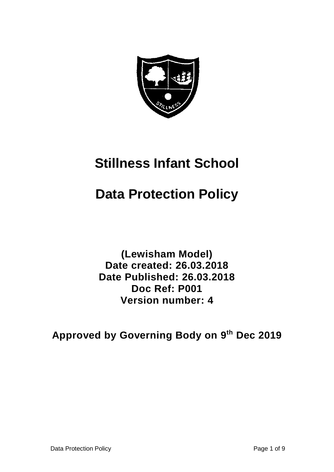

# **Stillness Infant School**

# **Data Protection Policy**

**(Lewisham Model) Date created: 26.03.2018 Date Published: 26.03.2018 Doc Ref: P001 Version number: 4**

**Approved by Governing Body on 9 th Dec 2019**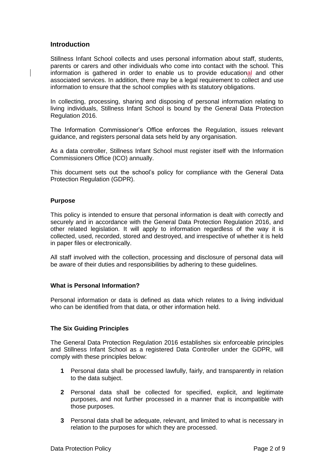### **Introduction**

Stillness Infant School collects and uses personal information about staff, students, parents or carers and other individuals who come into contact with the school. This information is gathered in order to enable us to provide educational and other associated services. In addition, there may be a legal requirement to collect and use information to ensure that the school complies with its statutory obligations.

In collecting, processing, sharing and disposing of personal information relating to living individuals, Stillness Infant School is bound by the General Data Protection Regulation 2016.

The Information Commissioner's Office enforces the Regulation, issues relevant guidance, and registers personal data sets held by any organisation.

As a data controller, Stillness Infant School must register itself with the Information Commissioners Office (ICO) annually.

This document sets out the school's policy for compliance with the General Data Protection Regulation (GDPR).

### **Purpose**

This policy is intended to ensure that personal information is dealt with correctly and securely and in accordance with the General Data Protection Regulation 2016, and other related legislation. It will apply to information regardless of the way it is collected, used, recorded, stored and destroyed, and irrespective of whether it is held in paper files or electronically.

All staff involved with the collection, processing and disclosure of personal data will be aware of their duties and responsibilities by adhering to these guidelines.

#### **What is Personal Information?**

Personal information or data is defined as data which relates to a living individual who can be identified from that data, or other information held.

#### **The Six Guiding Principles**

The General Data Protection Regulation 2016 establishes six enforceable principles and Stillness Infant School as a registered Data Controller under the GDPR, will comply with these principles below:

- **1** Personal data shall be processed lawfully, fairly, and transparently in relation to the data subject.
- **2** Personal data shall be collected for specified, explicit, and legitimate purposes, and not further processed in a manner that is incompatible with those purposes.
- **3** Personal data shall be adequate, relevant, and limited to what is necessary in relation to the purposes for which they are processed.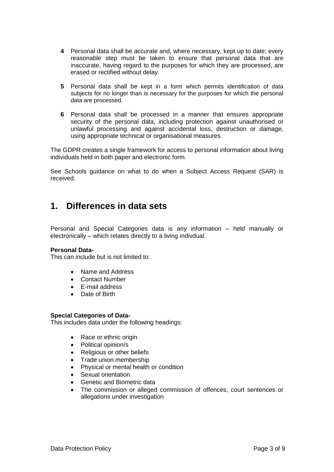- **4** Personal data shall be accurate and, where necessary, kept up to date; every reasonable step must be taken to ensure that personal data that are inaccurate, having regard to the purposes for which they are processed, are erased or rectified without delay.
- **5** Personal data shall be kept in a form which permits identification of data subjects for no longer than is necessary for the purposes for which the personal data are processed.
- **6** Personal data shall be processed in a manner that ensures appropriate security of the personal data, including protection against unauthorised or unlawful processing and against accidental loss, destruction or damage, using appropriate technical or organisational measures.

The GDPR creates a single framework for access to personal information about living individuals held in both paper and electronic form.

See Schools guidance on what to do when a Subject Access Request (SAR) is received.

### **1. Differences in data sets**

Personal and Special Categories data is any information – held manually or electronically – which relates directly to a living indivdual.

#### **Personal Data-**

This can include but is not limited to:

- Name and Address
- Contact Number
- E-mail address
- Date of Birth

#### **Special Categories of Data-**

This includes data under the following headings:

- Race or ethnic origin
- Political opinion/s
- Religious or other beliefs
- Trade union membership
- Physical or mental health or condition
- Sexual orientation
- Genetic and Biometric data
- The commission or alleged commission of offences, court sentences or allegations under investigation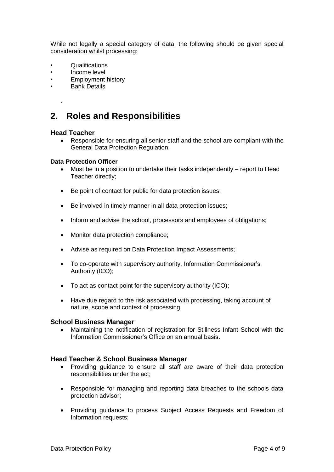While not legally a special category of data, the following should be given special consideration whilst processing:

- Qualifications
- Income level
- Employment history
- **Bank Details**

## **2. Roles and Responsibilities**

### **Head Teacher**

.

• Responsible for ensuring all senior staff and the school are compliant with the General Data Protection Regulation.

#### **Data Protection Officer**

- Must be in a position to undertake their tasks independently report to Head Teacher directly;
- Be point of contact for public for data protection issues;
- Be involved in timely manner in all data protection issues;
- Inform and advise the school, processors and employees of obligations;
- Monitor data protection compliance;
- Advise as required on Data Protection Impact Assessments;
- To co-operate with supervisory authority, Information Commissioner's Authority (ICO);
- To act as contact point for the supervisory authority (ICO);
- Have due regard to the risk associated with processing, taking account of nature, scope and context of processing.

#### **School Business Manager**

• Maintaining the notification of registration for Stillness Infant School with the Information Commissioner's Office on an annual basis.

### **Head Teacher & School Business Manager**

- Providing guidance to ensure all staff are aware of their data protection responsibilities under the act;
- Responsible for managing and reporting data breaches to the schools data protection advisor;
- Providing guidance to process Subject Access Requests and Freedom of Information requests;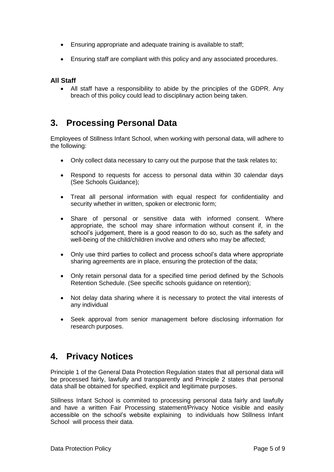- Ensuring appropriate and adequate training is available to staff;
- Ensuring staff are compliant with this policy and any associated procedures.

### **All Staff**

• All staff have a responsibility to abide by the principles of the GDPR. Any breach of this policy could lead to disciplinary action being taken.

### **3. Processing Personal Data**

Employees of Stillness Infant School, when working with personal data, will adhere to the following:

- Only collect data necessary to carry out the purpose that the task relates to;
- Respond to requests for access to personal data within 30 calendar days (See Schools Guidance);
- Treat all personal information with equal respect for confidentiality and security whether in written, spoken or electronic form;
- Share of personal or sensitive data with informed consent. Where appropriate, the school may share information without consent if, in the school's judgement, there is a good reason to do so, such as the safety and well-being of the child/children involve and others who may be affected;
- Only use third parties to collect and process school's data where appropriate sharing agreements are in place, ensuring the protection of the data;
- Only retain personal data for a specified time period defined by the Schools Retention Schedule. (See specific schools guidance on retention);
- Not delay data sharing where it is necessary to protect the vital interests of any individual
- Seek approval from senior management before disclosing information for research purposes.

### **4. Privacy Notices**

Principle 1 of the General Data Protection Regulation states that all personal data will be processed fairly, lawfully and transparently and Principle 2 states that personal data shall be obtained for specified, explicit and legitimate purposes.

Stillness Infant School is commited to processing personal data fairly and lawfully and have a written Fair Processing statement/Privacy Notice visible and easily accessible on the school's website explaining to individuals how Stillness Infant School will process their data.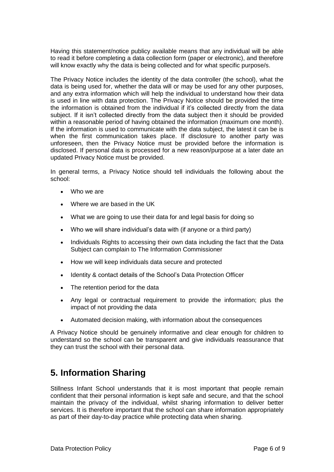Having this statement/notice publicy available means that any individual will be able to read it before completing a data collection form (paper or electronic), and therefore will know exactly why the data is being collected and for what specific purpose/s.

The Privacy Notice includes the identity of the data controller (the school), what the data is being used for, whether the data will or may be used for any other purposes, and any extra information which will help the individual to understand how their data is used in line with data protection. The Privacy Notice should be provided the time the information is obtained from the individual if it's collected directly from the data subject. If it isn't collected directly from the data subject then it should be provided within a reasonable period of having obtained the information (maximum one month). If the information is used to communicate with the data subject, the latest it can be is when the first communication takes place. If disclosure to another party was unforeseen, then the Privacy Notice must be provided before the information is disclosed. If personal data is processed for a new reason/purpose at a later date an updated Privacy Notice must be provided.

In general terms, a Privacy Notice should tell individuals the following about the school:

- Who we are
- Where we are based in the UK
- What we are going to use their data for and legal basis for doing so
- Who we will share individual's data with (if anyone or a third party)
- Individuals Rights to accessing their own data including the fact that the Data Subject can complain to The Information Commissioner
- How we will keep individuals data secure and protected
- Identity & contact details of the School's Data Protection Officer
- The retention period for the data
- Any legal or contractual requirement to provide the information; plus the impact of not providing the data
- Automated decision making, with information about the consequences

A Privacy Notice should be genuinely informative and clear enough for children to understand so the school can be transparent and give individuals reassurance that they can trust the school with their personal data.

### **5. Information Sharing**

Stillness Infant School understands that it is most important that people remain confident that their personal information is kept safe and secure, and that the school maintain the privacy of the individual, whilst sharing information to deliver better services. It is therefore important that the school can share information appropriately as part of their day-to-day practice while protecting data when sharing.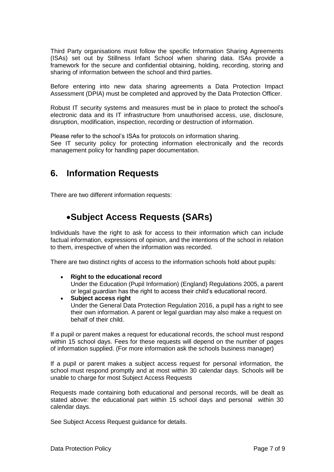Third Party organisations must follow the specific Information Sharing Agreements (ISAs) set out by Stillness Infant School when sharing data. ISAs provide a framework for the secure and confidential obtaining, holding, recording, storing and sharing of information between the school and third parties.

Before entering into new data sharing agreements a Data Protection Impact Assessment (DPIA) must be completed and approved by the Data Protection Officer.

Robust IT security systems and measures must be in place to protect the school's electronic data and its IT infrastructure from unauthorised access, use, disclosure, disruption, modification, inspection, recording or destruction of information.

Please refer to the school's ISAs for protocols on information sharing. See IT security policy for protecting information electronically and the records management policy for handling paper documentation.

### **6. Information Requests**

There are two different information requests:

# •**Subject Access Requests (SARs)**

Individuals have the right to ask for access to their information which can include factual information, expressions of opinion, and the intentions of the school in relation to them, irrespective of when the information was recorded.

There are two distinct rights of access to the information schools hold about pupils:

• **Right to the educational record**

Under the Education (Pupil Information) (England) Regulations 2005, a parent or legal guardian has the right to access their child's educational record.

• **Subject access right** Under the General Data Protection Regulation 2016, a pupil has a right to see their own information. A parent or legal guardian may also make a request on behalf of their child.

If a pupil or parent makes a request for educational records, the school must respond within 15 school days. Fees for these requests will depend on the number of pages of information supplied. (For more information ask the schools business manager)

If a pupil or parent makes a subject access request for personal information, the school must respond promptly and at most within 30 calendar days. Schools will be unable to charge for most Subject Access Requests

Requests made containing both educational and personal records, will be dealt as stated above: the educational part within 15 school days and personal within 30 calendar days.

See Subject Access Request guidance for details.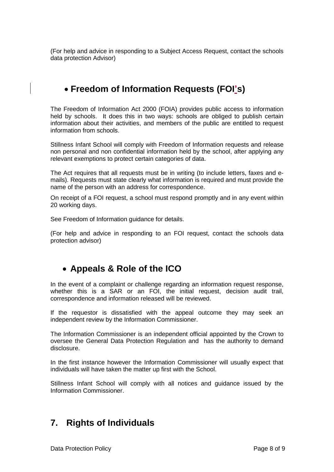(For help and advice in responding to a Subject Access Request, contact the schools data protection Advisor)

# • **Freedom of Information Requests (FOI's)**

The Freedom of Information Act 2000 (FOIA) provides public access to information held by schools. It does this in two ways: schools are obliged to publish certain information about their activities, and members of the public are entitled to request information from schools.

Stillness Infant School will comply with Freedom of Information requests and release non personal and non confidential information held by the school, after applying any relevant exemptions to protect certain categories of data.

The Act requires that all requests must be in writing (to include letters, faxes and emails). Requests must state clearly what information is required and must provide the name of the person with an address for correspondence.

On receipt of a FOI request, a school must respond promptly and in any event within 20 working days.

See Freedom of Information guidance for details.

(For help and advice in responding to an FOI request, contact the schools data protection advisor)

### • **Appeals & Role of the ICO**

In the event of a complaint or challenge regarding an information request response, whether this is a SAR or an FOI, the initial request, decision audit trail, correspondence and information released will be reviewed.

If the requestor is dissatisfied with the appeal outcome they may seek an independent review by the Information Commissioner.

The [Information Commissioner](http://www.informationcommissioner.gov.uk/eventual.aspx) is an independent official appointed by the Crown to oversee the General Data Protection Regulation and has the authority to demand disclosure.

In the first instance however the Information Commissioner will usually expect that individuals will have taken the matter up first with the School.

Stillness Infant School will comply with all notices and guidance issued by the Information Commissioner.

### **7. Rights of Individuals**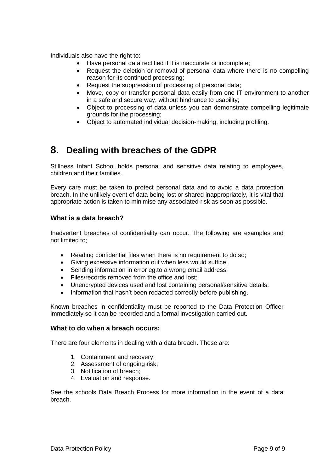Individuals also have the right to:

- Have personal data rectified if it is inaccurate or incomplete;
- Request the deletion or removal of personal data where there is no compelling reason for its continued processing;
- Request the suppression of processing of personal data;
- Move, copy or transfer personal data easily from one IT environment to another in a safe and secure way, without hindrance to usability;
- Object to processing of data unless you can demonstrate compelling legitimate grounds for the processing;
- Object to automated individual decision-making, including profiling.

# **8. Dealing with breaches of the GDPR**

Stillness Infant School holds personal and sensitive data relating to employees, children and their families.

Every care must be taken to protect personal data and to avoid a data protection breach. In the unlikely event of data being lost or shared inappropriately, it is vital that appropriate action is taken to minimise any associated risk as soon as possible.

### **What is a data breach?**

Inadvertent breaches of confidentiality can occur. The following are examples and not limited to;

- Reading confidential files when there is no requirement to do so;
- Giving excessive information out when less would suffice;
- Sending information in error eg.to a wrong email address:
- Files/records removed from the office and lost:
- Unencrypted devices used and lost containing personal/sensitive details;
- Information that hasn't been redacted correctly before publishing.

Known breaches in confidentiality must be reported to the Data Protection Officer immediately so it can be recorded and a formal investigation carried out.

### **What to do when a breach occurs:**

There are four elements in dealing with a data breach. These are:

- 1. Containment and recovery;
- 2. Assessment of ongoing risk;
- 3. Notification of breach;
- 4. Evaluation and response.

See the schools Data Breach Process for more information in the event of a data breach.